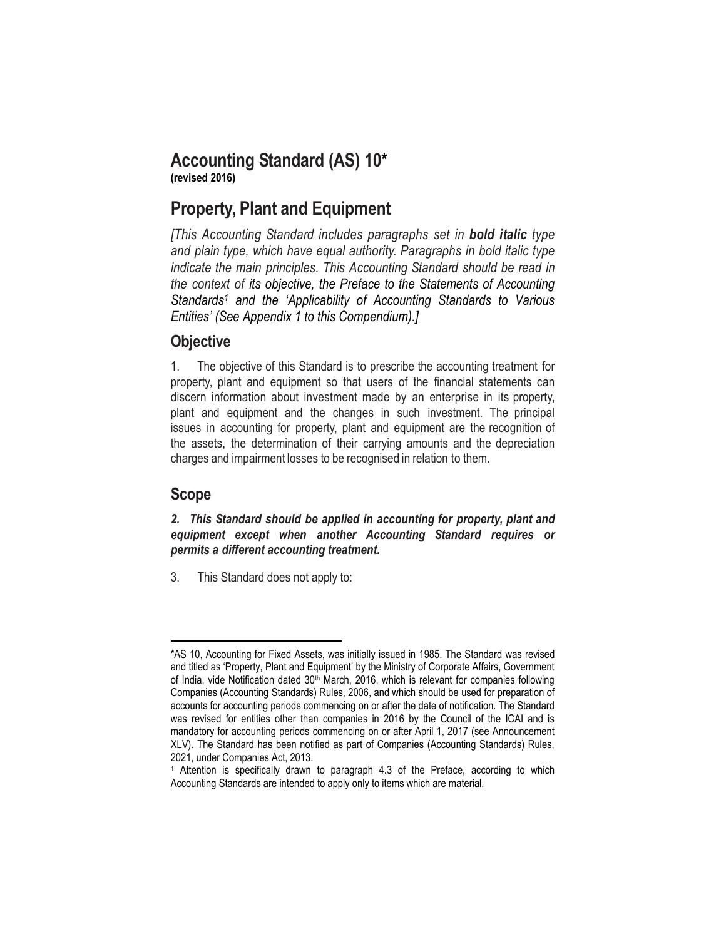## **Accounting Standard (AS) 10\* (revised 2016)**

# **Property, Plant and Equipment**

*[This Accounting Standard includes paragraphs set in bold italic type and plain type, which have equal authority. Paragraphs in bold italic type indicate the main principles. This Accounting Standard should be read in the context of its objective, the Preface to the Statements of Accounting Standards<sup>1</sup> and the 'Applicability of Accounting Standards to Various Entities' (See Appendix 1 to this Compendium).]*

# **Objective**

1. The objective of this Standard is to prescribe the accounting treatment for property, plant and equipment so that users of the financial statements can discern information about investment made by an enterprise in its property, plant and equipment and the changes in such investment. The principal issues in accounting for property, plant and equipment are the recognition of the assets, the determination of their carrying amounts and the depreciation charges and impairment losses to be recognised in relation to them.

# **Scope**

*2. This Standard should be applied in accounting for property, plant and equipment except when another Accounting Standard requires or permits a different accounting treatment.*

3. This Standard does not apply to:

 $\overline{\phantom{a}}$ \*AS 10, Accounting for Fixed Assets, was initially issued in 1985. The Standard was revised and titled as 'Property, Plant and Equipment' by the Ministry of Corporate Affairs, Government of India, vide Notification dated  $30<sup>th</sup>$  March, 2016, which is relevant for companies following Companies (Accounting Standards) Rules, 2006, and which should be used for preparation of accounts for accounting periods commencing on or after the date of notification. The Standard was revised for entities other than companies in 2016 by the Council of the ICAI and is mandatory for accounting periods commencing on or after April 1, 2017 (see Announcement XLV). The Standard has been notified as part of Companies (Accounting Standards) Rules, 2021, under Companies Act, 2013.

<sup>1</sup> Attention is specifically drawn to paragraph 4.3 of the Preface, according to which Accounting Standards are intended to apply only to items which are material.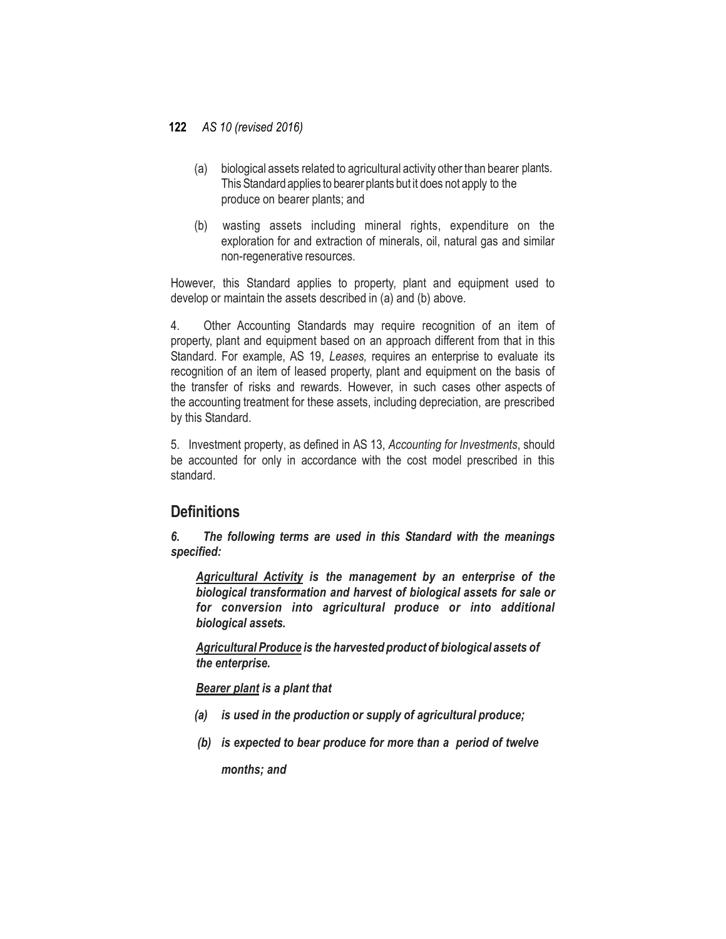- (a) biological assets related to agricultural activity other than bearer plants. This Standard applies to bearer plants but it does not apply to the produce on bearer plants; and
- (b) wasting assets including mineral rights, expenditure on the exploration for and extraction of minerals, oil, natural gas and similar non-regenerative resources.

However, this Standard applies to property, plant and equipment used to develop or maintain the assets described in (a) and (b) above.

4. Other Accounting Standards may require recognition of an item of property, plant and equipment based on an approach different from that in this Standard. For example, AS 19, *Leases,* requires an enterprise to evaluate its recognition of an item of leased property, plant and equipment on the basis of the transfer of risks and rewards. However, in such cases other aspects of the accounting treatment for these assets, including depreciation, are prescribed by this Standard.

5. Investment property, as defined in AS 13, *Accounting for Investments*, should be accounted for only in accordance with the cost model prescribed in this standard.

## **Definitions**

*6. The following terms are used in this Standard with the meanings specified:*

*Agricultural Activity is the management by an enterprise of the biological transformation and harvest of biological assets for sale or for conversion into agricultural produce or into additional biological assets.*

*Agricultural Produce is the harvested product of biological assets of the enterprise.*

#### *Bearer plant is a plant that*

- *(a) is used in the production or supply of agricultural produce;*
- *(b) is expected to bear produce for more than a period of twelve*

*months; and*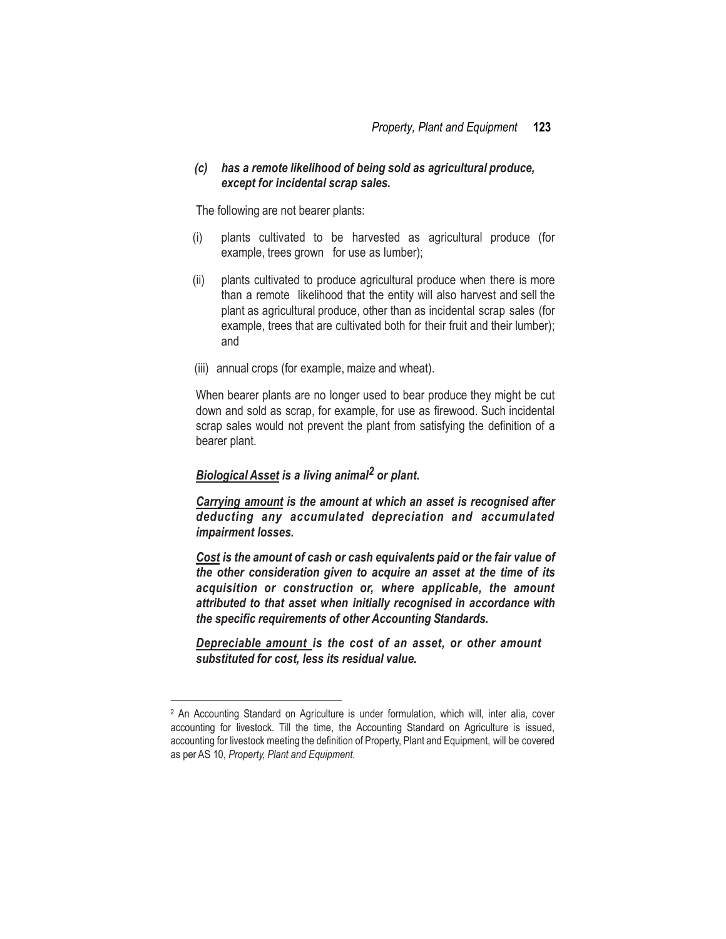#### *(c) has a remote likelihood of being sold as agricultural produce, except for incidental scrap sales.*

The following are not bearer plants:

- (i) plants cultivated to be harvested as agricultural produce (for example, trees grown for use as lumber);
- (ii) plants cultivated to produce agricultural produce when there is more than a remote likelihood that the entity will also harvest and sell the plant as agricultural produce, other than as incidental scrap sales (for example, trees that are cultivated both for their fruit and their lumber); and
- (iii) annual crops (for example, maize and wheat).

When bearer plants are no longer used to bear produce they might be cut down and sold as scrap, for example, for use as firewood. Such incidental scrap sales would not prevent the plant from satisfying the definition of a bearer plant.

#### *Biological Asset is a living animal2 or plant.*

 $\overline{\phantom{a}}$ 

*Carrying amount is the amount at which an asset is recognised after deducting any accumulated depreciation and accumulated impairment losses.*

*Cost is the amount of cash or cash equivalents paid or the fair value of the other consideration given to acquire an asset at the time of its acquisition or construction or, where applicable, the amount attributed to that asset when initially recognised in accordance with the specific requirements of other Accounting Standards.*

*Depreciable amount is the cost of an asset, or other amount substituted for cost, less its residual value.*

<sup>2</sup> An Accounting Standard on Agriculture is under formulation, which will, inter alia, cover accounting for livestock. Till the time, the Accounting Standard on Agriculture is issued, accounting for livestock meeting the definition of Property, Plant and Equipment, will be covered as per AS 10, *Property, Plant and Equipment.*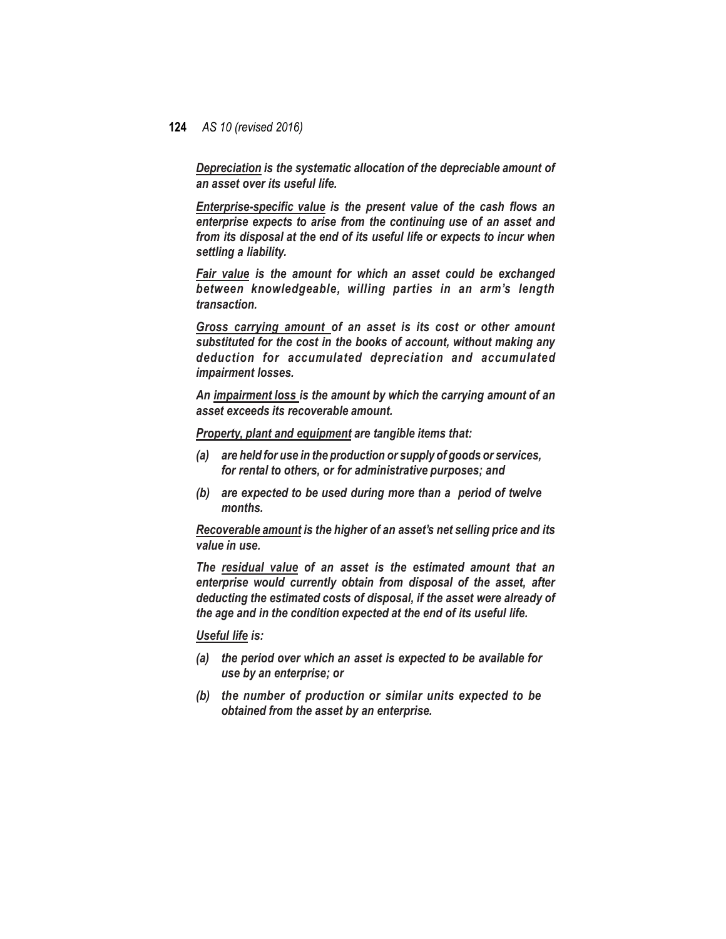*Depreciation is the systematic allocation of the depreciable amount of an asset over its useful life.*

*Enterprise-specific value is the present value of the cash flows an enterprise expects to arise from the continuing use of an asset and from its disposal at the end of its useful life or expects to incur when settling a liability.*

*Fair value is the amount for which an asset could be exchanged between knowledgeable, willing parties in an arm's length transaction.*

*Gross carrying amount of an asset is its cost or other amount substituted for the cost in the books of account, without making any deduction for accumulated depreciation and accumulated impairment losses.*

*An impairment loss is the amount by which the carrying amount of an asset exceeds its recoverable amount.*

*Property, plant and equipment are tangible items that:*

- *(a) are held for use in the production or supply of goods or services, for rental to others, or for administrative purposes; and*
- *(b) are expected to be used during more than a period of twelve months.*

*Recoverable amount is the higher of an asset's net selling price and its value in use.*

*The residual value of an asset is the estimated amount that an enterprise would currently obtain from disposal of the asset, after deducting the estimated costs of disposal, if the asset were already of the age and in the condition expected at the end of its useful life.*

*Useful life is:*

- *(a) the period over which an asset is expected to be available for use by an enterprise; or*
- *(b) the number of production or similar units expected to be obtained from the asset by an enterprise.*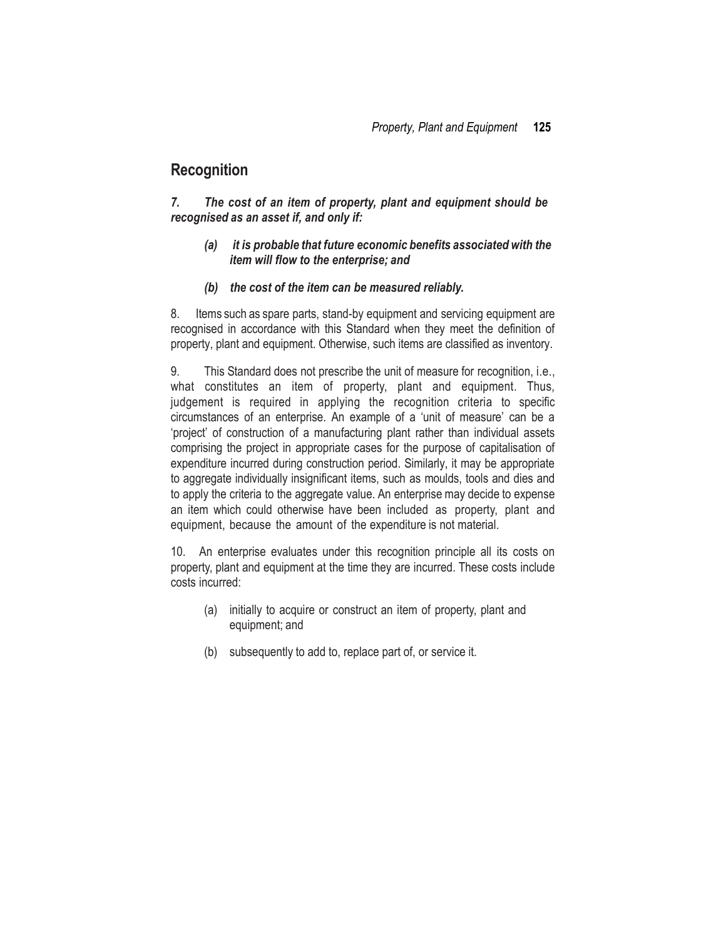## **Recognition**

*7. The cost of an item of property, plant and equipment should be recognised as an asset if, and only if:*

- *(a) it is probable that future economic benefits associated with the item will flow to the enterprise; and*
- *(b) the cost of the item can be measured reliably.*

8. Items such as spare parts, stand-by equipment and servicing equipment are recognised in accordance with this Standard when they meet the definition of property, plant and equipment. Otherwise, such items are classified as inventory.

9. This Standard does not prescribe the unit of measure for recognition, i.e., what constitutes an item of property, plant and equipment. Thus, judgement is required in applying the recognition criteria to specific circumstances of an enterprise. An example of a 'unit of measure' can be a 'project' of construction of a manufacturing plant rather than individual assets comprising the project in appropriate cases for the purpose of capitalisation of expenditure incurred during construction period. Similarly, it may be appropriate to aggregate individually insignificant items, such as moulds, tools and dies and to apply the criteria to the aggregate value. An enterprise may decide to expense an item which could otherwise have been included as property, plant and equipment, because the amount of the expenditure is not material.

10. An enterprise evaluates under this recognition principle all its costs on property, plant and equipment at the time they are incurred. These costs include costs incurred:

- (a) initially to acquire or construct an item of property, plant and equipment; and
- (b) subsequently to add to, replace part of, or service it.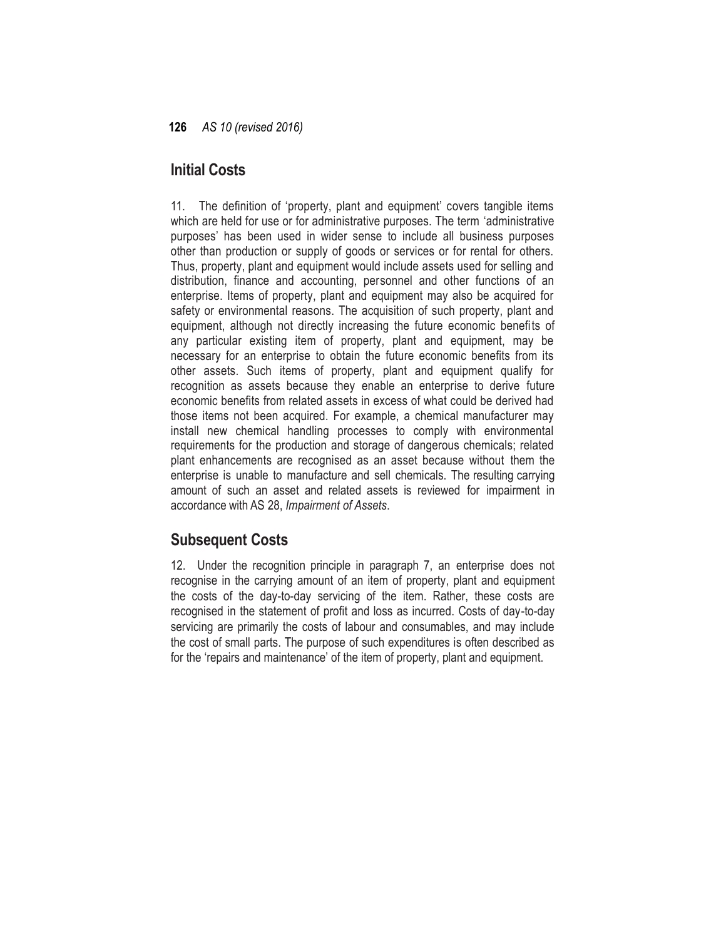## **Initial Costs**

11. The definition of 'property, plant and equipment' covers tangible items which are held for use or for administrative purposes. The term 'administrative purposes' has been used in wider sense to include all business purposes other than production or supply of goods or services or for rental for others. Thus, property, plant and equipment would include assets used for selling and distribution, finance and accounting, personnel and other functions of an enterprise. Items of property, plant and equipment may also be acquired for safety or environmental reasons. The acquisition of such property, plant and equipment, although not directly increasing the future economic benefits of any particular existing item of property, plant and equipment, may be necessary for an enterprise to obtain the future economic benefits from its other assets. Such items of property, plant and equipment qualify for recognition as assets because they enable an enterprise to derive future economic benefits from related assets in excess of what could be derived had those items not been acquired. For example, a chemical manufacturer may install new chemical handling processes to comply with environmental requirements for the production and storage of dangerous chemicals; related plant enhancements are recognised as an asset because without them the enterprise is unable to manufacture and sell chemicals. The resulting carrying amount of such an asset and related assets is reviewed for impairment in accordance with AS 28, *Impairment of Assets*.

# **Subsequent Costs**

12. Under the recognition principle in paragraph 7, an enterprise does not recognise in the carrying amount of an item of property, plant and equipment the costs of the day-to-day servicing of the item. Rather, these costs are recognised in the statement of profit and loss as incurred. Costs of day-to-day servicing are primarily the costs of labour and consumables, and may include the cost of small parts. The purpose of such expenditures is often described as for the 'repairs and maintenance' of the item of property, plant and equipment.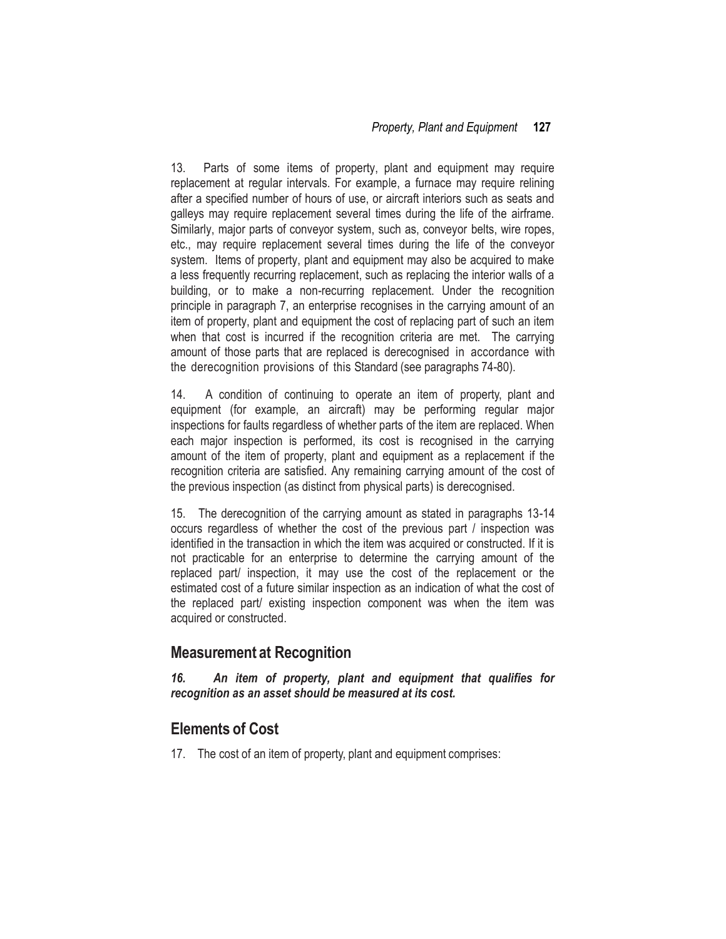13. Parts of some items of property, plant and equipment may require replacement at regular intervals. For example, a furnace may require relining after a specified number of hours of use, or aircraft interiors such as seats and galleys may require replacement several times during the life of the airframe. Similarly, major parts of conveyor system, such as, conveyor belts, wire ropes, etc., may require replacement several times during the life of the conveyor system. Items of property, plant and equipment may also be acquired to make a less frequently recurring replacement, such as replacing the interior walls of a building, or to make a non-recurring replacement. Under the recognition principle in paragraph 7, an enterprise recognises in the carrying amount of an item of property, plant and equipment the cost of replacing part of such an item when that cost is incurred if the recognition criteria are met. The carrying amount of those parts that are replaced is derecognised in accordance with the derecognition provisions of this Standard (see paragraphs 74-80).

14. A condition of continuing to operate an item of property, plant and equipment (for example, an aircraft) may be performing regular major inspections for faults regardless of whether parts of the item are replaced. When each major inspection is performed, its cost is recognised in the carrying amount of the item of property, plant and equipment as a replacement if the recognition criteria are satisfied. Any remaining carrying amount of the cost of the previous inspection (as distinct from physical parts) is derecognised.

15. The derecognition of the carrying amount as stated in paragraphs 13-14 occurs regardless of whether the cost of the previous part / inspection was identified in the transaction in which the item was acquired or constructed. If it is not practicable for an enterprise to determine the carrying amount of the replaced part/ inspection, it may use the cost of the replacement or the estimated cost of a future similar inspection as an indication of what the cost of the replaced part/ existing inspection component was when the item was acquired or constructed.

#### **Measurement at Recognition**

*16. An item of property, plant and equipment that qualifies for recognition as an asset should be measured at its cost.*

## **Elements of Cost**

17. The cost of an item of property, plant and equipment comprises: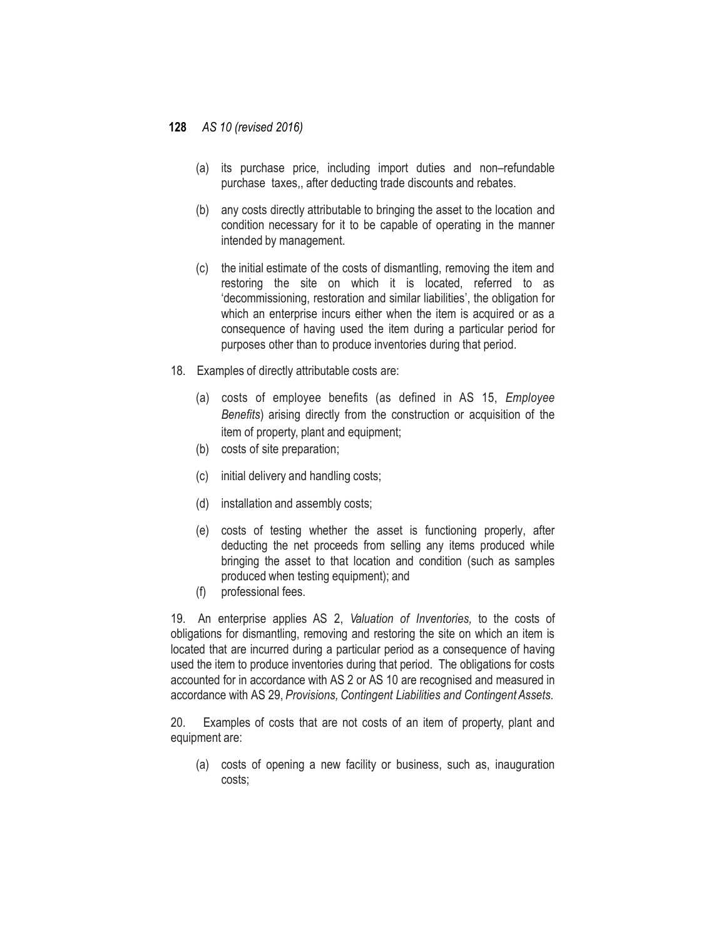- (a) its purchase price, including import duties and non–refundable purchase taxes,, after deducting trade discounts and rebates.
- (b) any costs directly attributable to bringing the asset to the location and condition necessary for it to be capable of operating in the manner intended by management.
- (c) the initial estimate of the costs of dismantling, removing the item and restoring the site on which it is located, referred to as 'decommissioning, restoration and similar liabilities', the obligation for which an enterprise incurs either when the item is acquired or as a consequence of having used the item during a particular period for purposes other than to produce inventories during that period.
- 18. Examples of directly attributable costs are:
	- (a) costs of employee benefits (as defined in AS 15, *Employee Benefits*) arising directly from the construction or acquisition of the item of property, plant and equipment;
	- (b) costs of site preparation;
	- (c) initial delivery and handling costs;
	- (d) installation and assembly costs;
	- (e) costs of testing whether the asset is functioning properly, after deducting the net proceeds from selling any items produced while bringing the asset to that location and condition (such as samples produced when testing equipment); and
	- (f) professional fees.

19. An enterprise applies AS 2, *Valuation of Inventories,* to the costs of obligations for dismantling, removing and restoring the site on which an item is located that are incurred during a particular period as a consequence of having used the item to produce inventories during that period. The obligations for costs accounted for in accordance with AS 2 or AS 10 are recognised and measured in accordance with AS 29, *Provisions, Contingent Liabilities and Contingent Assets.*

20. Examples of costs that are not costs of an item of property, plant and equipment are:

(a) costs of opening a new facility or business, such as, inauguration costs;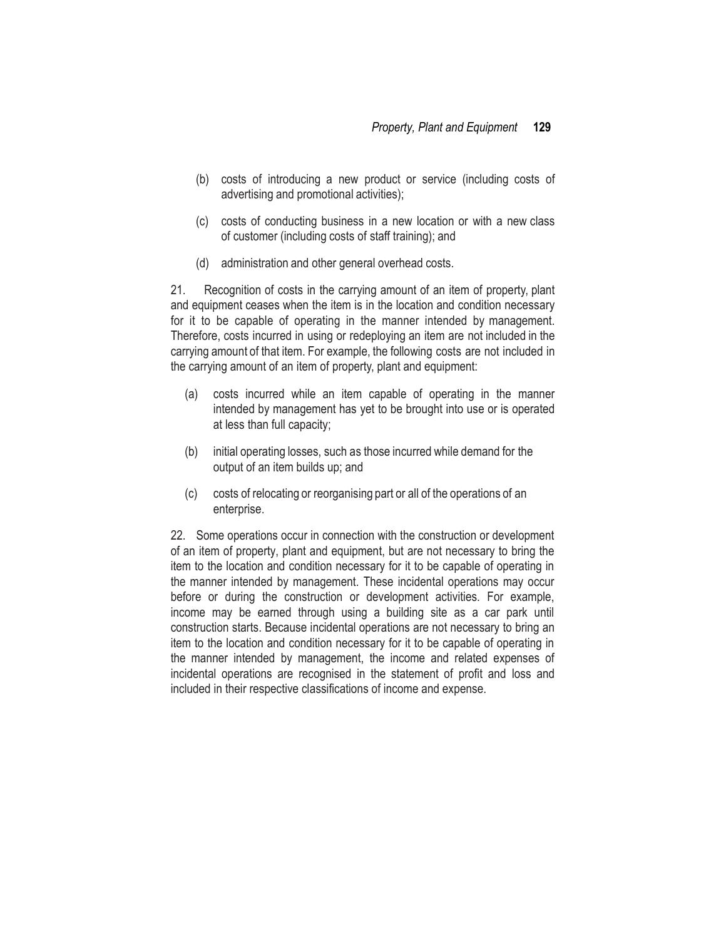- (b) costs of introducing a new product or service (including costs of advertising and promotional activities);
- (c) costs of conducting business in a new location or with a new class of customer (including costs of staff training); and
- (d) administration and other general overhead costs.

21. Recognition of costs in the carrying amount of an item of property, plant and equipment ceases when the item is in the location and condition necessary for it to be capable of operating in the manner intended by management. Therefore, costs incurred in using or redeploying an item are not included in the carrying amount of that item. For example, the following costs are not included in the carrying amount of an item of property, plant and equipment:

- (a) costs incurred while an item capable of operating in the manner intended by management has yet to be brought into use or is operated at less than full capacity;
- (b) initial operating losses, such as those incurred while demand for the output of an item builds up; and
- (c) costs of relocating or reorganising part or all of the operations of an enterprise.

22. Some operations occur in connection with the construction or development of an item of property, plant and equipment, but are not necessary to bring the item to the location and condition necessary for it to be capable of operating in the manner intended by management. These incidental operations may occur before or during the construction or development activities. For example, income may be earned through using a building site as a car park until construction starts. Because incidental operations are not necessary to bring an item to the location and condition necessary for it to be capable of operating in the manner intended by management, the income and related expenses of incidental operations are recognised in the statement of profit and loss and included in their respective classifications of income and expense.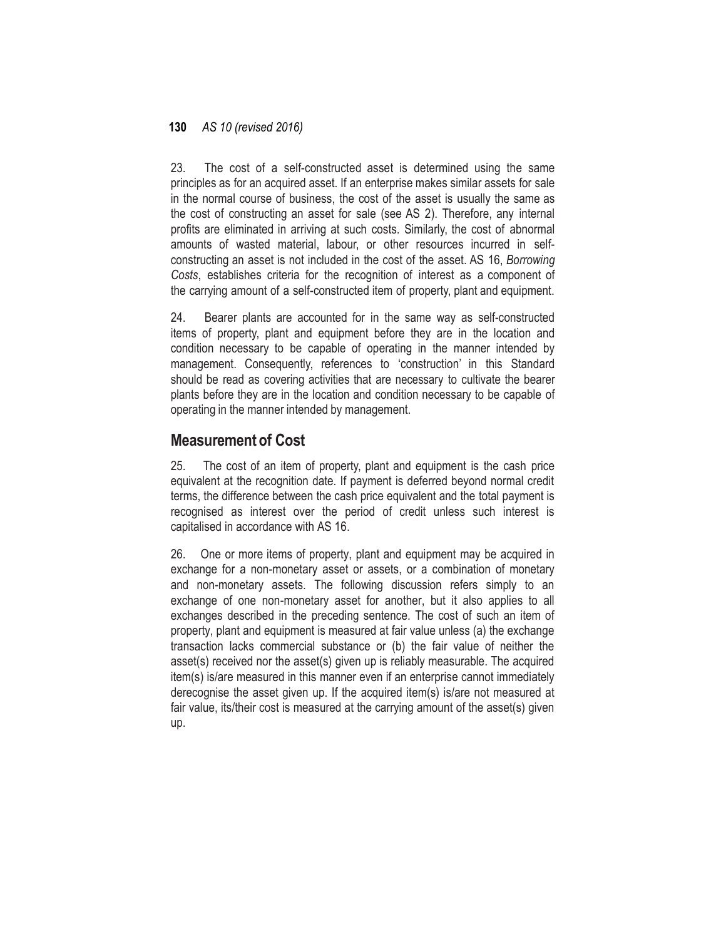23. The cost of a self-constructed asset is determined using the same principles as for an acquired asset. If an enterprise makes similar assets for sale in the normal course of business, the cost of the asset is usually the same as the cost of constructing an asset for sale (see AS 2). Therefore, any internal profits are eliminated in arriving at such costs. Similarly, the cost of abnormal amounts of wasted material, labour, or other resources incurred in selfconstructing an asset is not included in the cost of the asset. AS 16, *Borrowing Costs*, establishes criteria for the recognition of interest as a component of the carrying amount of a self-constructed item of property, plant and equipment.

24. Bearer plants are accounted for in the same way as self-constructed items of property, plant and equipment before they are in the location and condition necessary to be capable of operating in the manner intended by management. Consequently, references to 'construction' in this Standard should be read as covering activities that are necessary to cultivate the bearer plants before they are in the location and condition necessary to be capable of operating in the manner intended by management.

# **Measurement of Cost**

25. The cost of an item of property, plant and equipment is the cash price equivalent at the recognition date. If payment is deferred beyond normal credit terms, the difference between the cash price equivalent and the total payment is recognised as interest over the period of credit unless such interest is capitalised in accordance with AS 16.

26. One or more items of property, plant and equipment may be acquired in exchange for a non-monetary asset or assets, or a combination of monetary and non-monetary assets. The following discussion refers simply to an exchange of one non-monetary asset for another, but it also applies to all exchanges described in the preceding sentence. The cost of such an item of property, plant and equipment is measured at fair value unless (a) the exchange transaction lacks commercial substance or (b) the fair value of neither the asset(s) received nor the asset(s) given up is reliably measurable. The acquired item(s) is/are measured in this manner even if an enterprise cannot immediately derecognise the asset given up. If the acquired item(s) is/are not measured at fair value, its/their cost is measured at the carrying amount of the asset(s) given up.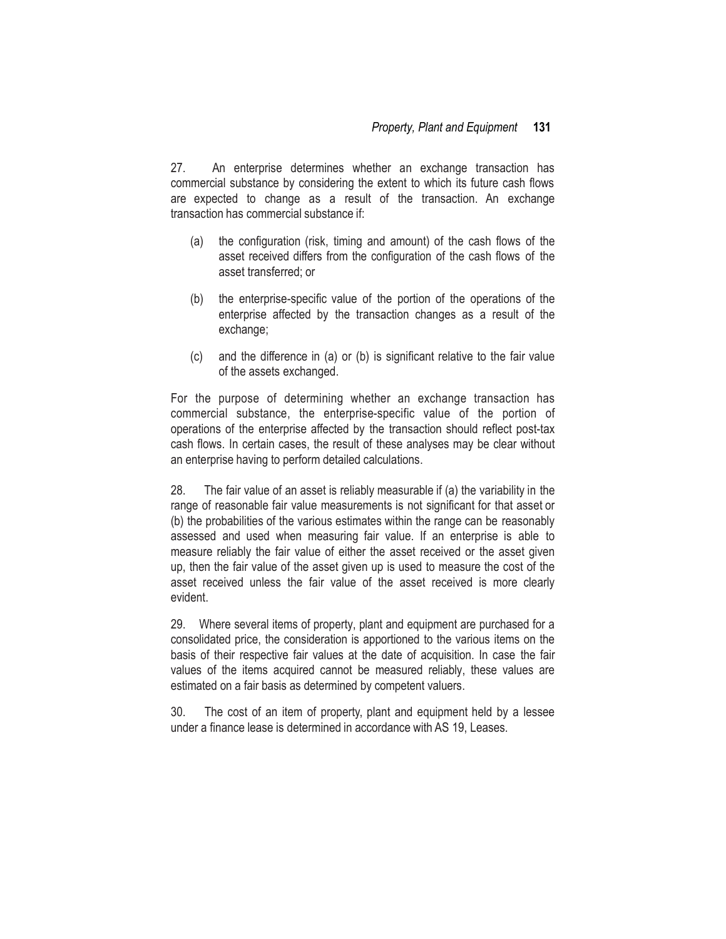27. An enterprise determines whether an exchange transaction has commercial substance by considering the extent to which its future cash flows are expected to change as a result of the transaction. An exchange transaction has commercial substance if:

- (a) the configuration (risk, timing and amount) of the cash flows of the asset received differs from the configuration of the cash flows of the asset transferred; or
- (b) the enterprise-specific value of the portion of the operations of the enterprise affected by the transaction changes as a result of the exchange;
- (c) and the difference in (a) or (b) is significant relative to the fair value of the assets exchanged.

For the purpose of determining whether an exchange transaction has commercial substance, the enterprise-specific value of the portion of operations of the enterprise affected by the transaction should reflect post-tax cash flows. In certain cases, the result of these analyses may be clear without an enterprise having to perform detailed calculations.

28. The fair value of an asset is reliably measurable if (a) the variability in the range of reasonable fair value measurements is not significant for that asset or (b) the probabilities of the various estimates within the range can be reasonably assessed and used when measuring fair value. If an enterprise is able to measure reliably the fair value of either the asset received or the asset given up, then the fair value of the asset given up is used to measure the cost of the asset received unless the fair value of the asset received is more clearly evident.

29. Where several items of property, plant and equipment are purchased for a consolidated price, the consideration is apportioned to the various items on the basis of their respective fair values at the date of acquisition. In case the fair values of the items acquired cannot be measured reliably, these values are estimated on a fair basis as determined by competent valuers.

30. The cost of an item of property, plant and equipment held by a lessee under a finance lease is determined in accordance with AS 19, Leases.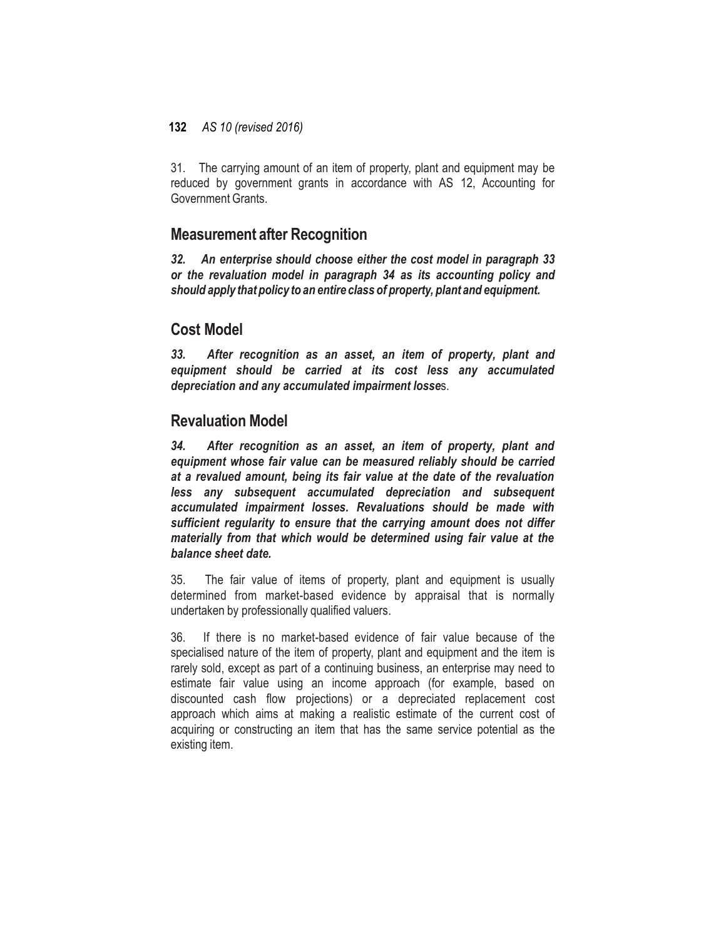31. The carrying amount of an item of property, plant and equipment may be reduced by government grants in accordance with AS 12, Accounting for Government Grants.

# **Measurement after Recognition**

*32. An enterprise should choose either the cost model in paragraph 33 or the revaluation model in paragraph 34 as its accounting policy and should apply that policy to an entire class of property, plant and equipment.*

# **Cost Model**

*33. After recognition as an asset, an item of property, plant and equipment should be carried at its cost less any accumulated depreciation and any accumulated impairment losse*s.

# **Revaluation Model**

*34. After recognition as an asset, an item of property, plant and equipment whose fair value can be measured reliably should be carried at a revalued amount, being its fair value at the date of the revaluation less any subsequent accumulated depreciation and subsequent accumulated impairment losses. Revaluations should be made with sufficient regularity to ensure that the carrying amount does not differ materially from that which would be determined using fair value at the balance sheet date.*

35. The fair value of items of property, plant and equipment is usually determined from market-based evidence by appraisal that is normally undertaken by professionally qualified valuers.

36. If there is no market-based evidence of fair value because of the specialised nature of the item of property, plant and equipment and the item is rarely sold, except as part of a continuing business, an enterprise may need to estimate fair value using an income approach (for example, based on discounted cash flow projections) or a depreciated replacement cost approach which aims at making a realistic estimate of the current cost of acquiring or constructing an item that has the same service potential as the existing item.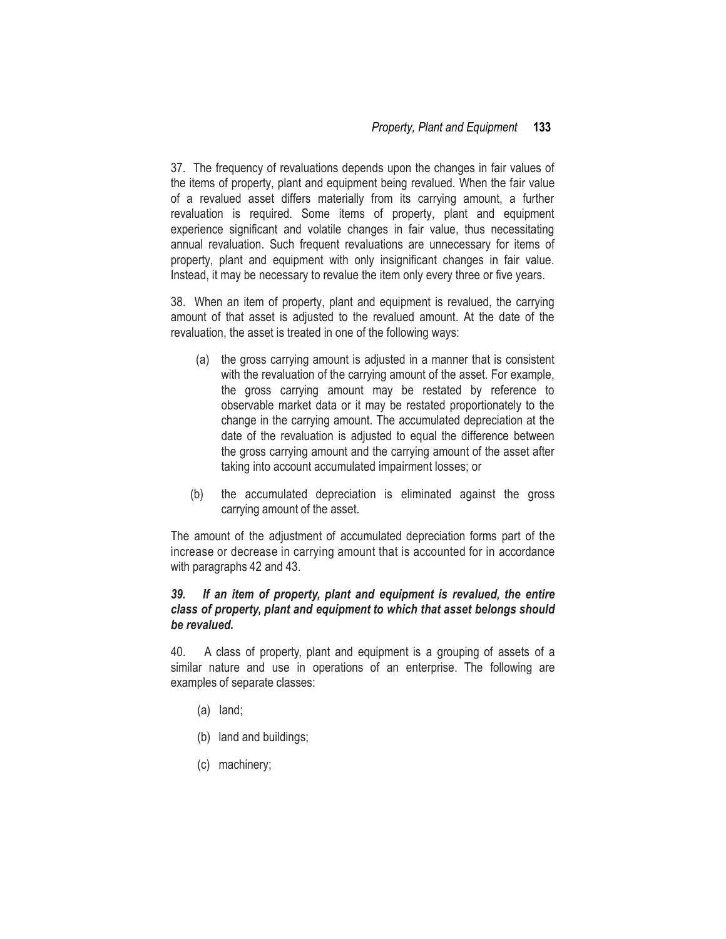37. The frequency of revaluations depends upon the changes in fair values of the items of property, plant and equipment being revalued. When the fair value of a revalued asset differs materially from its carrying amount, a further revaluation is required. Some items of property, plant and equipment experience significant and volatile changes in fair value, thus necessitating annual revaluation. Such frequent revaluations are unnecessary for items of property, plant and equipment with only insignificant changes in fair value. Instead, it may be necessary to revalue the item only every three or five years.

38. When an item of property, plant and equipment is revalued, the carrying amount of that asset is adjusted to the revalued amount. At the date of the revaluation, the asset is treated in one of the following ways:

- (a) the gross carrying amount is adjusted in a manner that is consistent with the revaluation of the carrying amount of the asset. For example, the gross carrying amount may be restated by reference to observable market data or it may be restated proportionately to the change in the carrying amount. The accumulated depreciation at the date of the revaluation is adjusted to equal the difference between the gross carrying amount and the carrying amount of the asset after taking into account accumulated impairment losses; or
- (b) the accumulated depreciation is eliminated against the gross carrying amount of the asset.

The amount of the adjustment of accumulated depreciation forms part of the increase or decrease in carrying amount that is accounted for in accordance with paragraphs 42 and 43.

#### *39. If an item of property, plant and equipment is revalued, the entire class of property, plant and equipment to which that asset belongs should be revalued.*

40. A class of property, plant and equipment is a grouping of assets of a similar nature and use in operations of an enterprise. The following are examples of separate classes:

- (a) land;
- (b) land and buildings;
- (c) machinery;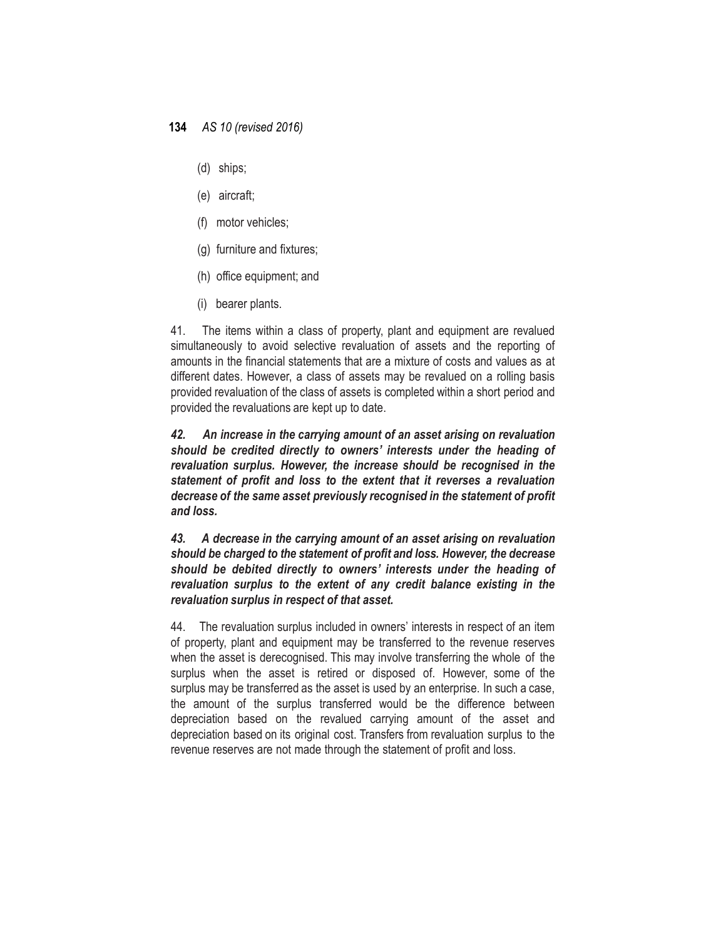- (d) ships;
- (e) aircraft;
- (f) motor vehicles;
- (g) furniture and fixtures;
- (h) office equipment; and
- (i) bearer plants.

41. The items within a class of property, plant and equipment are revalued simultaneously to avoid selective revaluation of assets and the reporting of amounts in the financial statements that are a mixture of costs and values as at different dates. However, a class of assets may be revalued on a rolling basis provided revaluation of the class of assets is completed within a short period and provided the revaluations are kept up to date.

*42. An increase in the carrying amount of an asset arising on revaluation should be credited directly to owners' interests under the heading of revaluation surplus. However, the increase should be recognised in the statement of profit and loss to the extent that it reverses a revaluation decrease of the same asset previously recognised in the statement of profit and loss.*

*43. A decrease in the carrying amount of an asset arising on revaluation should be charged to the statement of profit and loss. However, the decrease should be debited directly to owners' interests under the heading of revaluation surplus to the extent of any credit balance existing in the revaluation surplus in respect of that asset.*

44. The revaluation surplus included in owners' interests in respect of an item of property, plant and equipment may be transferred to the revenue reserves when the asset is derecognised. This may involve transferring the whole of the surplus when the asset is retired or disposed of. However, some of the surplus may be transferred as the asset is used by an enterprise. In such a case, the amount of the surplus transferred would be the difference between depreciation based on the revalued carrying amount of the asset and depreciation based on its original cost. Transfers from revaluation surplus to the revenue reserves are not made through the statement of profit and loss.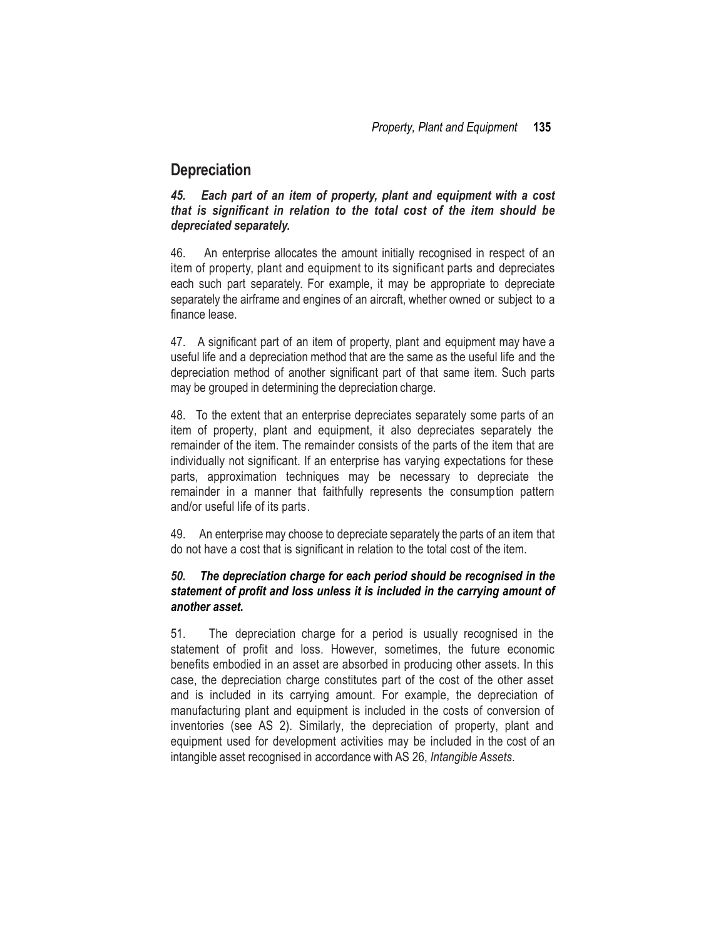### **Depreciation**

#### *45. Each part of an item of property, plant and equipment with a cost that is significant in relation to the total cost of the item should be depreciated separately.*

46. An enterprise allocates the amount initially recognised in respect of an item of property, plant and equipment to its significant parts and depreciates each such part separately. For example, it may be appropriate to depreciate separately the airframe and engines of an aircraft, whether owned or subject to a finance lease.

47. A significant part of an item of property, plant and equipment may have a useful life and a depreciation method that are the same as the useful life and the depreciation method of another significant part of that same item. Such parts may be grouped in determining the depreciation charge.

48. To the extent that an enterprise depreciates separately some parts of an item of property, plant and equipment, it also depreciates separately the remainder of the item. The remainder consists of the parts of the item that are individually not significant. If an enterprise has varying expectations for these parts, approximation techniques may be necessary to depreciate the remainder in a manner that faithfully represents the consumption pattern and/or useful life of its parts.

49. An enterprise may choose to depreciate separately the parts of an item that do not have a cost that is significant in relation to the total cost of the item.

#### *50. The depreciation charge for each period should be recognised in the statement of profit and loss unless it is included in the carrying amount of another asset.*

51. The depreciation charge for a period is usually recognised in the statement of profit and loss. However, sometimes, the future economic benefits embodied in an asset are absorbed in producing other assets. In this case, the depreciation charge constitutes part of the cost of the other asset and is included in its carrying amount. For example, the depreciation of manufacturing plant and equipment is included in the costs of conversion of inventories (see AS 2). Similarly, the depreciation of property, plant and equipment used for development activities may be included in the cost of an intangible asset recognised in accordance with AS 26, *Intangible Assets*.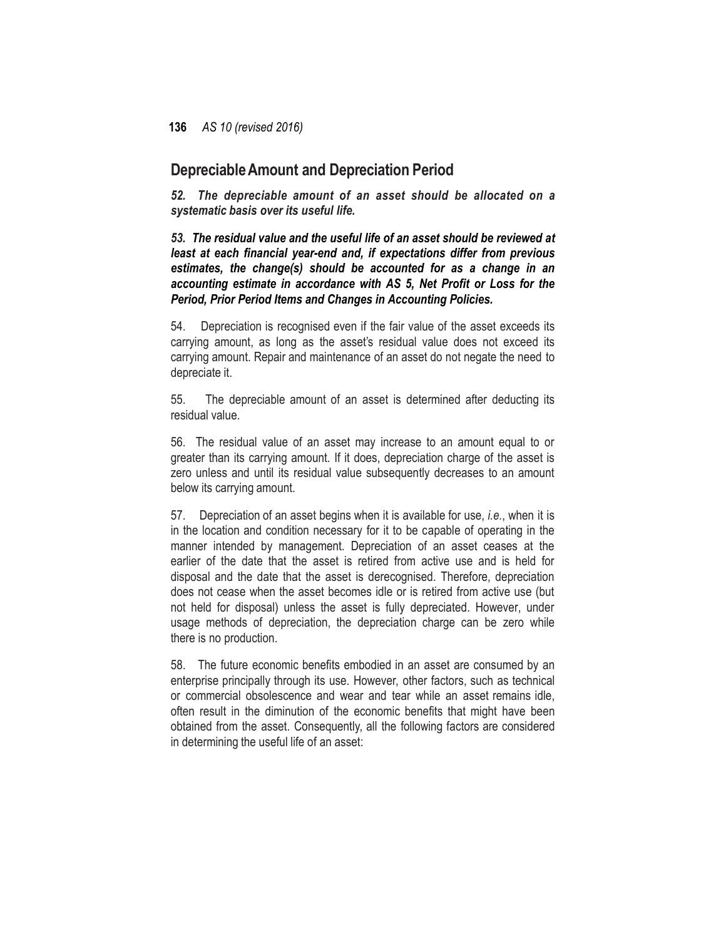# **DepreciableAmount and Depreciation Period**

*52. The depreciable amount of an asset should be allocated on a systematic basis over its useful life.*

*53. The residual value and the useful life of an asset should be reviewed at least at each financial year-end and, if expectations differ from previous estimates, the change(s) should be accounted for as a change in an accounting estimate in accordance with AS 5, Net Profit or Loss for the Period, Prior Period Items and Changes in Accounting Policies.*

54. Depreciation is recognised even if the fair value of the asset exceeds its carrying amount, as long as the asset's residual value does not exceed its carrying amount. Repair and maintenance of an asset do not negate the need to depreciate it.

55. The depreciable amount of an asset is determined after deducting its residual value.

56. The residual value of an asset may increase to an amount equal to or greater than its carrying amount. If it does, depreciation charge of the asset is zero unless and until its residual value subsequently decreases to an amount below its carrying amount.

57. Depreciation of an asset begins when it is available for use, *i.e.*, when it is in the location and condition necessary for it to be capable of operating in the manner intended by management. Depreciation of an asset ceases at the earlier of the date that the asset is retired from active use and is held for disposal and the date that the asset is derecognised. Therefore, depreciation does not cease when the asset becomes idle or is retired from active use (but not held for disposal) unless the asset is fully depreciated. However, under usage methods of depreciation, the depreciation charge can be zero while there is no production.

58. The future economic benefits embodied in an asset are consumed by an enterprise principally through its use. However, other factors, such as technical or commercial obsolescence and wear and tear while an asset remains idle, often result in the diminution of the economic benefits that might have been obtained from the asset. Consequently, all the following factors are considered in determining the useful life of an asset: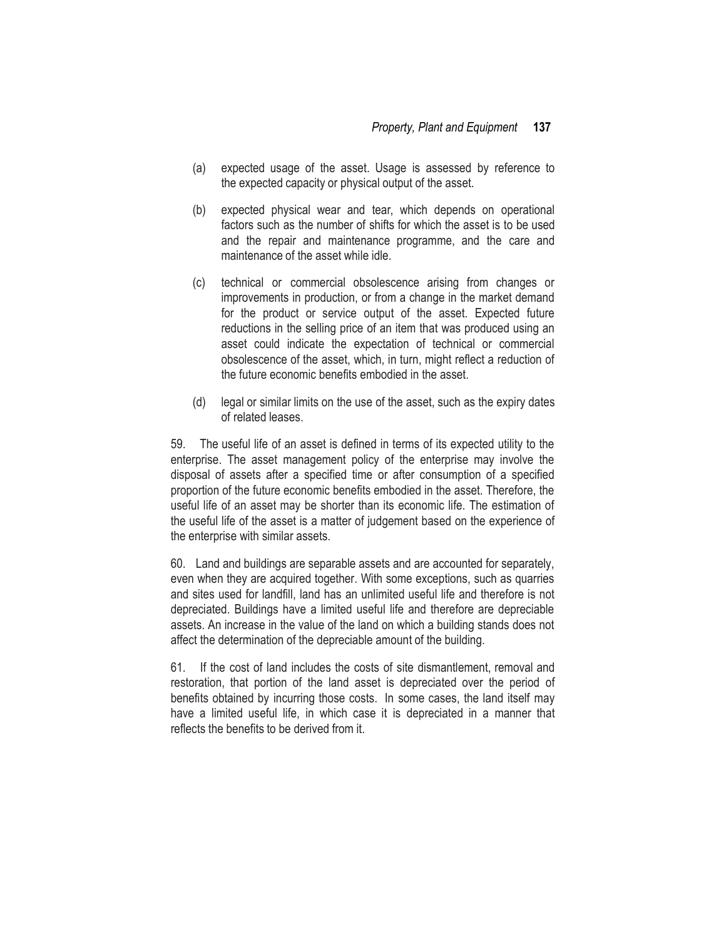- (a) expected usage of the asset. Usage is assessed by reference to the expected capacity or physical output of the asset.
- (b) expected physical wear and tear, which depends on operational factors such as the number of shifts for which the asset is to be used and the repair and maintenance programme, and the care and maintenance of the asset while idle.
- (c) technical or commercial obsolescence arising from changes or improvements in production, or from a change in the market demand for the product or service output of the asset. Expected future reductions in the selling price of an item that was produced using an asset could indicate the expectation of technical or commercial obsolescence of the asset, which, in turn, might reflect a reduction of the future economic benefits embodied in the asset.
- (d) legal or similar limits on the use of the asset, such as the expiry dates of related leases.

59. The useful life of an asset is defined in terms of its expected utility to the enterprise. The asset management policy of the enterprise may involve the disposal of assets after a specified time or after consumption of a specified proportion of the future economic benefits embodied in the asset. Therefore, the useful life of an asset may be shorter than its economic life. The estimation of the useful life of the asset is a matter of judgement based on the experience of the enterprise with similar assets.

60. Land and buildings are separable assets and are accounted for separately, even when they are acquired together. With some exceptions, such as quarries and sites used for landfill, land has an unlimited useful life and therefore is not depreciated. Buildings have a limited useful life and therefore are depreciable assets. An increase in the value of the land on which a building stands does not affect the determination of the depreciable amount of the building.

61. If the cost of land includes the costs of site dismantlement, removal and restoration, that portion of the land asset is depreciated over the period of benefits obtained by incurring those costs. In some cases, the land itself may have a limited useful life, in which case it is depreciated in a manner that reflects the benefits to be derived from it.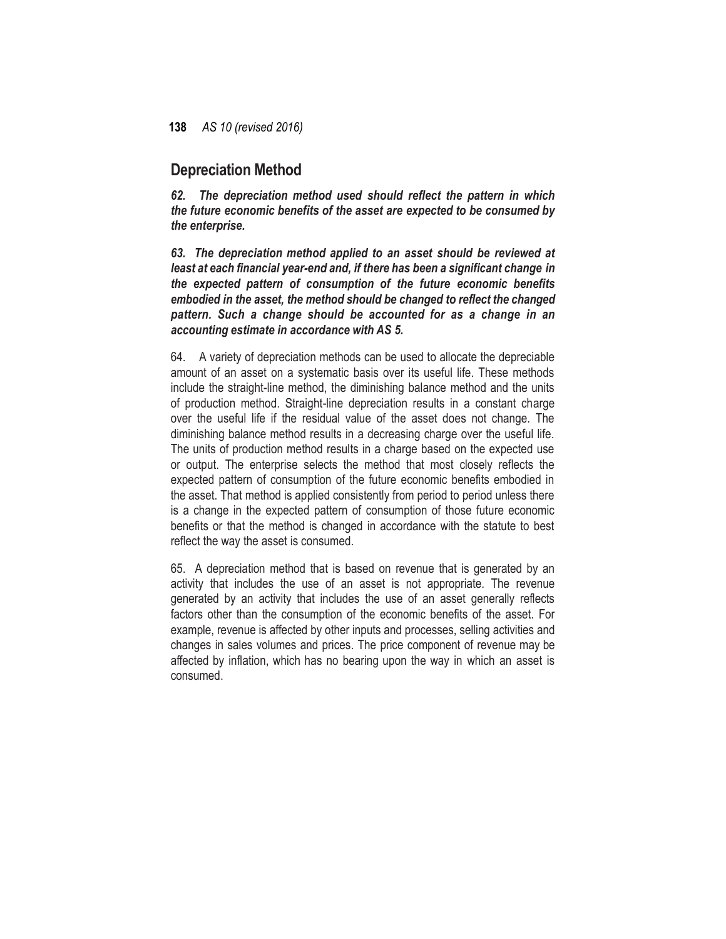## **Depreciation Method**

*62. The depreciation method used should reflect the pattern in which the future economic benefits of the asset are expected to be consumed by the enterprise.*

*63. The depreciation method applied to an asset should be reviewed at least at each financial year-end and, if there has been a significant change in the expected pattern of consumption of the future economic benefits embodied in the asset, the method should be changed to reflect the changed pattern. Such a change should be accounted for as a change in an accounting estimate in accordance with AS 5.*

64. A variety of depreciation methods can be used to allocate the depreciable amount of an asset on a systematic basis over its useful life. These methods include the straight-line method, the diminishing balance method and the units of production method. Straight-line depreciation results in a constant charge over the useful life if the residual value of the asset does not change. The diminishing balance method results in a decreasing charge over the useful life. The units of production method results in a charge based on the expected use or output. The enterprise selects the method that most closely reflects the expected pattern of consumption of the future economic benefits embodied in the asset. That method is applied consistently from period to period unless there is a change in the expected pattern of consumption of those future economic benefits or that the method is changed in accordance with the statute to best reflect the way the asset is consumed.

65. A depreciation method that is based on revenue that is generated by an activity that includes the use of an asset is not appropriate. The revenue generated by an activity that includes the use of an asset generally reflects factors other than the consumption of the economic benefits of the asset. For example, revenue is affected by other inputs and processes, selling activities and changes in sales volumes and prices. The price component of revenue may be affected by inflation, which has no bearing upon the way in which an asset is consumed.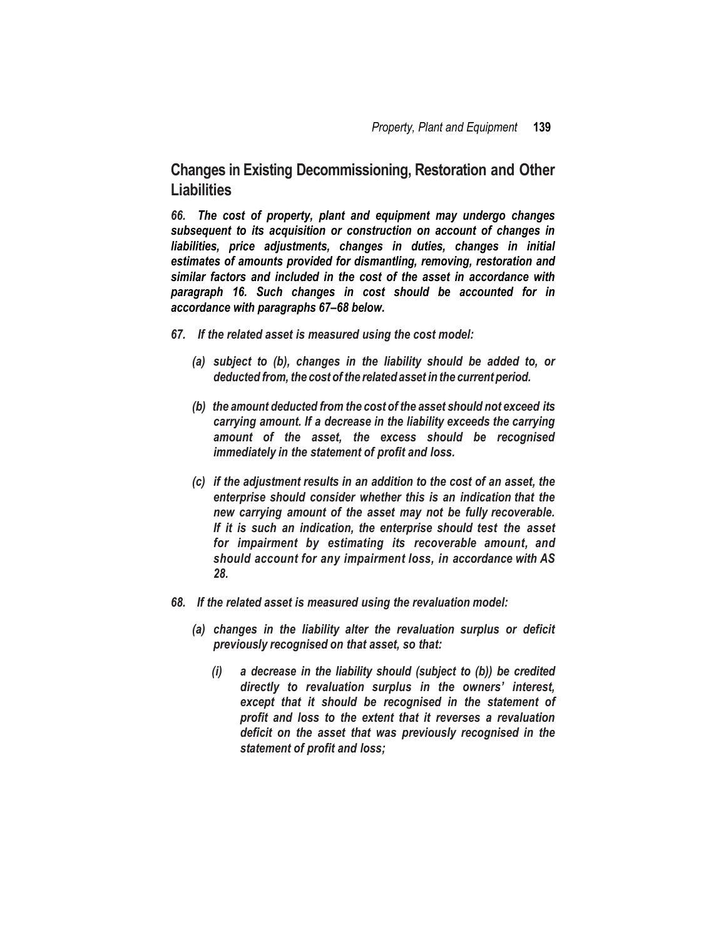# **Changes in Existing Decommissioning, Restoration and Other Liabilities**

*66. The cost of property, plant and equipment may undergo changes subsequent to its acquisition or construction on account of changes in liabilities, price adjustments, changes in duties, changes in initial estimates of amounts provided for dismantling, removing, restoration and similar factors and included in the cost of the asset in accordance with paragraph 16. Such changes in cost should be accounted for in accordance with paragraphs 67–68 below.*

- *67. If the related asset is measured using the cost model:*
	- *(a) subject to (b), changes in the liability should be added to, or deducted from, the cost of the related asset in the current period.*
	- *(b) the amount deducted from the cost of the asset should not exceed its carrying amount. If a decrease in the liability exceeds the carrying amount of the asset, the excess should be recognised immediately in the statement of profit and loss.*
	- *(c) if the adjustment results in an addition to the cost of an asset, the enterprise should consider whether this is an indication that the new carrying amount of the asset may not be fully recoverable. If it is such an indication, the enterprise should test the asset for impairment by estimating its recoverable amount, and should account for any impairment loss, in accordance with AS 28.*
- *68. If the related asset is measured using the revaluation model:*
	- *(a) changes in the liability alter the revaluation surplus or deficit previously recognised on that asset, so that:*
		- *(i) a decrease in the liability should (subject to (b)) be credited directly to revaluation surplus in the owners' interest, except that it should be recognised in the statement of profit and loss to the extent that it reverses a revaluation deficit on the asset that was previously recognised in the statement of profit and loss;*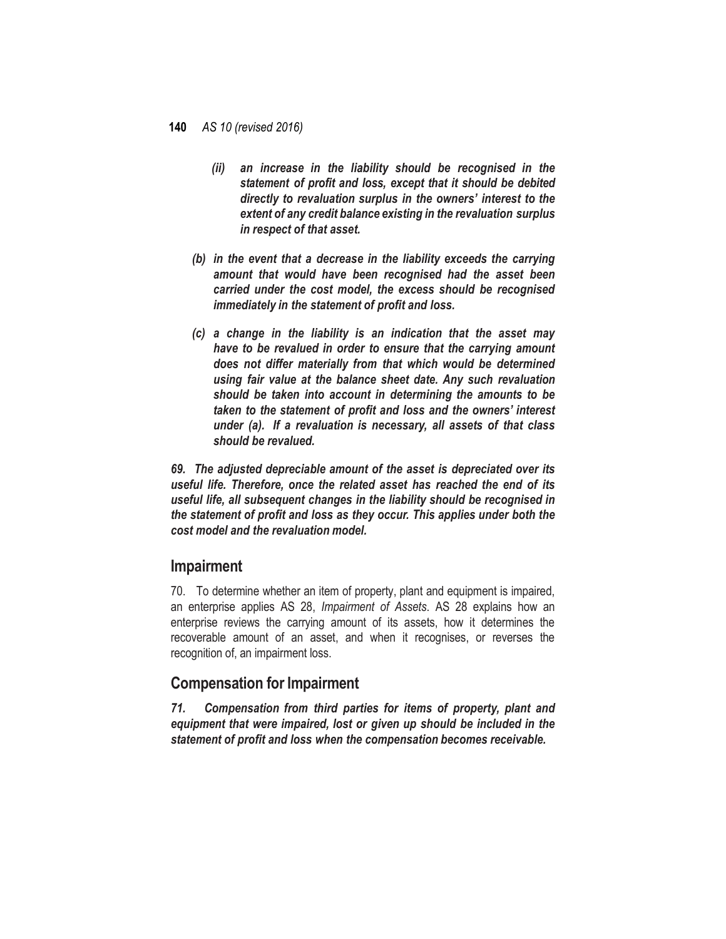- *(ii) an increase in the liability should be recognised in the statement of profit and loss, except that it should be debited directly to revaluation surplus in the owners' interest to the extent of any credit balance existing in the revaluation surplus in respect of that asset.*
- *(b) in the event that a decrease in the liability exceeds the carrying amount that would have been recognised had the asset been carried under the cost model, the excess should be recognised immediately in the statement of profit and loss.*
- *(c) a change in the liability is an indication that the asset may have to be revalued in order to ensure that the carrying amount does not differ materially from that which would be determined using fair value at the balance sheet date. Any such revaluation should be taken into account in determining the amounts to be taken to the statement of profit and loss and the owners' interest under (a). If a revaluation is necessary, all assets of that class should be revalued.*

*69. The adjusted depreciable amount of the asset is depreciated over its useful life. Therefore, once the related asset has reached the end of its useful life, all subsequent changes in the liability should be recognised in the statement of profit and loss as they occur. This applies under both the cost model and the revaluation model.*

## **Impairment**

70. To determine whether an item of property, plant and equipment is impaired, an enterprise applies AS 28, *Impairment of Assets*. AS 28 explains how an enterprise reviews the carrying amount of its assets, how it determines the recoverable amount of an asset, and when it recognises, or reverses the recognition of, an impairment loss.

# **Compensation for Impairment**

*71. Compensation from third parties for items of property, plant and equipment that were impaired, lost or given up should be included in the statement of profit and loss when the compensation becomes receivable.*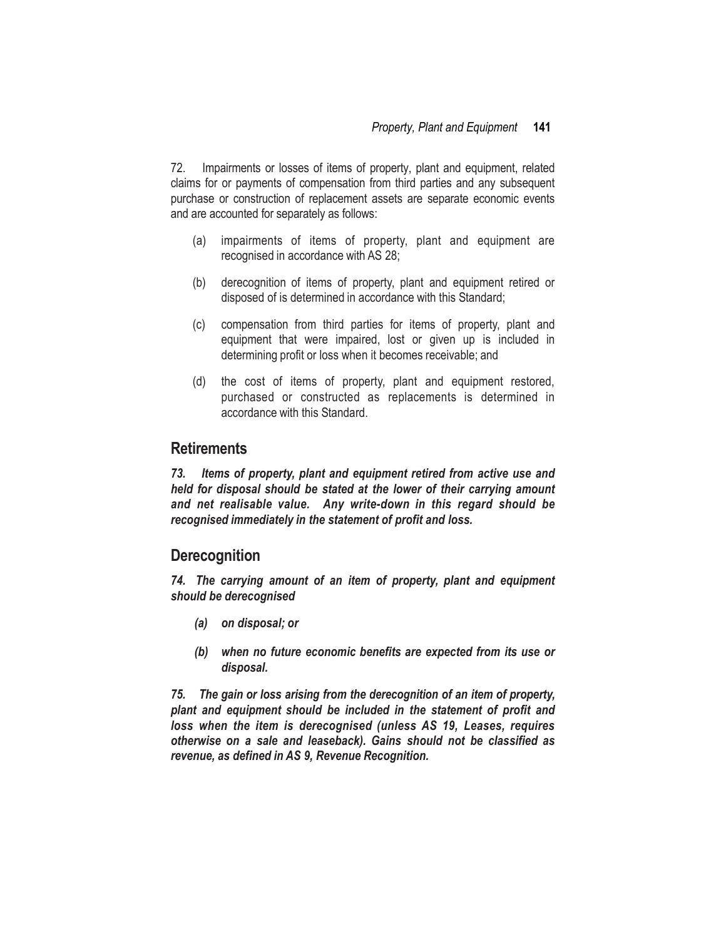72. Impairments or losses of items of property, plant and equipment, related claims for or payments of compensation from third parties and any subsequent purchase or construction of replacement assets are separate economic events and are accounted for separately as follows:

- (a) impairments of items of property, plant and equipment are recognised in accordance with AS 28;
- (b) derecognition of items of property, plant and equipment retired or disposed of is determined in accordance with this Standard;
- (c) compensation from third parties for items of property, plant and equipment that were impaired, lost or given up is included in determining profit or loss when it becomes receivable; and
- (d) the cost of items of property, plant and equipment restored, purchased or constructed as replacements is determined in accordance with this Standard.

#### **Retirements**

*73. Items of property, plant and equipment retired from active use and held for disposal should be stated at the lower of their carrying amount and net realisable value. Any write-down in this regard should be recognised immediately in the statement of profit and loss.*

## **Derecognition**

*74. The carrying amount of an item of property, plant and equipment should be derecognised*

- *(a) on disposal; or*
- *(b) when no future economic benefits are expected from its use or disposal.*

*75. The gain or loss arising from the derecognition of an item of property, plant and equipment should be included in the statement of profit and loss when the item is derecognised (unless AS 19, Leases, requires otherwise on a sale and leaseback). Gains should not be classified as revenue, as defined in AS 9, Revenue Recognition.*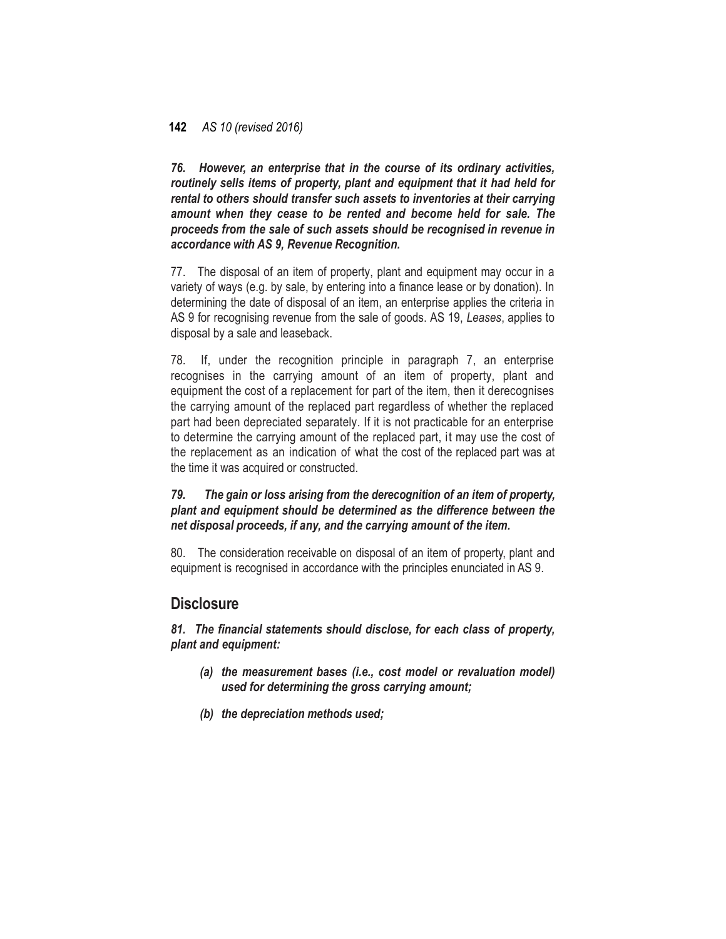*76. However, an enterprise that in the course of its ordinary activities, routinely sells items of property, plant and equipment that it had held for rental to others should transfer such assets to inventories at their carrying amount when they cease to be rented and become held for sale. The proceeds from the sale of such assets should be recognised in revenue in accordance with AS 9, Revenue Recognition.*

77. The disposal of an item of property, plant and equipment may occur in a variety of ways (e.g. by sale, by entering into a finance lease or by donation). In determining the date of disposal of an item, an enterprise applies the criteria in AS 9 for recognising revenue from the sale of goods. AS 19, *Leases*, applies to disposal by a sale and leaseback.

78. If, under the recognition principle in paragraph 7, an enterprise recognises in the carrying amount of an item of property, plant and equipment the cost of a replacement for part of the item, then it derecognises the carrying amount of the replaced part regardless of whether the replaced part had been depreciated separately. If it is not practicable for an enterprise to determine the carrying amount of the replaced part, it may use the cost of the replacement as an indication of what the cost of the replaced part was at the time it was acquired or constructed.

#### *79. The gain or loss arising from the derecognition of an item of property, plant and equipment should be determined as the difference between the net disposal proceeds, if any, and the carrying amount of the item.*

80. The consideration receivable on disposal of an item of property, plant and equipment is recognised in accordance with the principles enunciated in AS 9.

# **Disclosure**

*81. The financial statements should disclose, for each class of property, plant and equipment:*

- *(a) the measurement bases (i.e., cost model or revaluation model) used for determining the gross carrying amount;*
- *(b) the depreciation methods used;*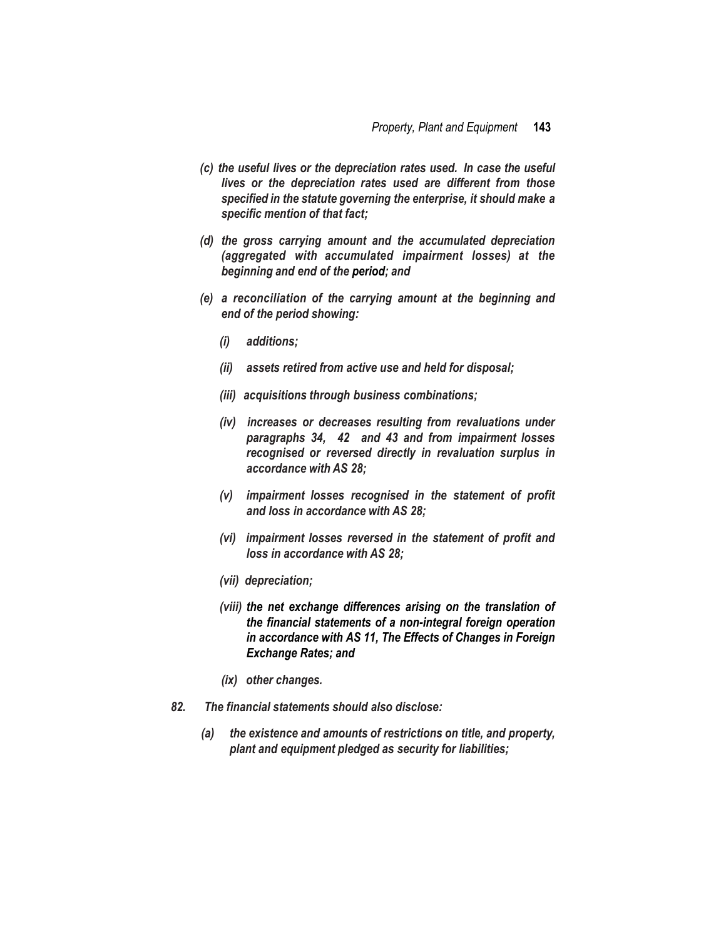- *(c) the useful lives or the depreciation rates used. In case the useful lives or the depreciation rates used are different from those specified in the statute governing the enterprise, it should make a specific mention of that fact;*
- *(d) the gross carrying amount and the accumulated depreciation (aggregated with accumulated impairment losses) at the beginning and end of the period; and*
- *(e) a reconciliation of the carrying amount at the beginning and end of the period showing:*
	- *(i) additions;*
	- *(ii) assets retired from active use and held for disposal;*
	- *(iii) acquisitions through business combinations;*
	- *(iv) increases or decreases resulting from revaluations under paragraphs 34, 42 and 43 and from impairment losses recognised or reversed directly in revaluation surplus in accordance with AS 28;*
	- *(v) impairment losses recognised in the statement of profit and loss in accordance with AS 28;*
	- *(vi) impairment losses reversed in the statement of profit and loss in accordance with AS 28;*
	- *(vii) depreciation;*
	- *(viii) the net exchange differences arising on the translation of the financial statements of a non-integral foreign operation in accordance with AS 11, The Effects of Changes in Foreign Exchange Rates; and*
	- *(ix) other changes.*
- *82. The financial statements should also disclose:*
	- *(a) the existence and amounts of restrictions on title, and property, plant and equipment pledged as security for liabilities;*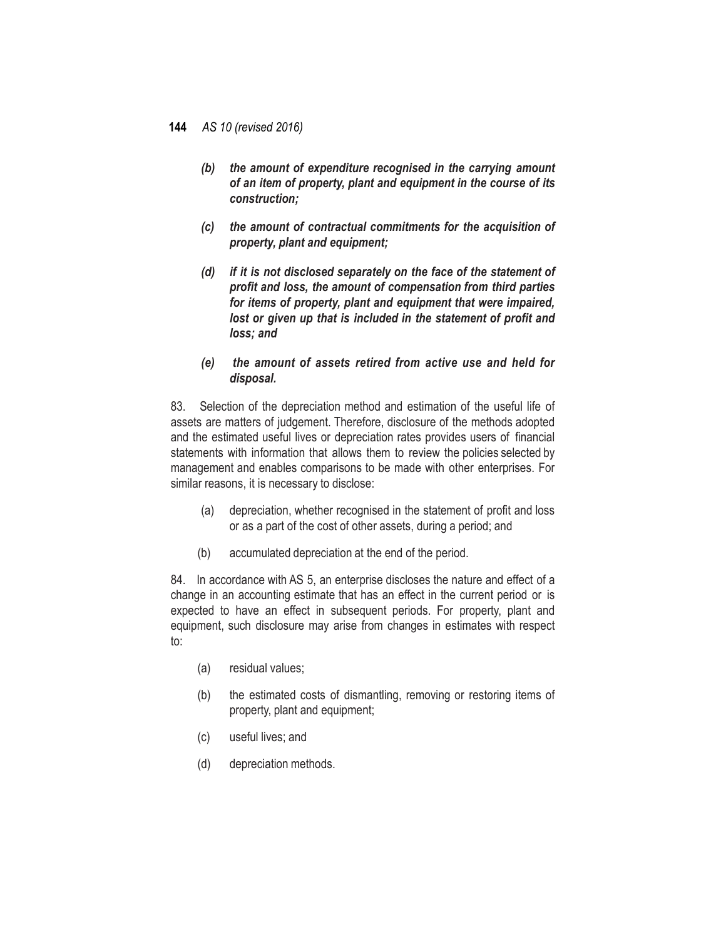- *(b) the amount of expenditure recognised in the carrying amount of an item of property, plant and equipment in the course of its construction;*
- *(c) the amount of contractual commitments for the acquisition of property, plant and equipment;*
- *(d) if it is not disclosed separately on the face of the statement of profit and loss, the amount of compensation from third parties for items of property, plant and equipment that were impaired, lost or given up that is included in the statement of profit and loss; and*
- *(e) the amount of assets retired from active use and held for disposal.*

83. Selection of the depreciation method and estimation of the useful life of assets are matters of judgement. Therefore, disclosure of the methods adopted and the estimated useful lives or depreciation rates provides users of financial statements with information that allows them to review the policies selected by management and enables comparisons to be made with other enterprises. For similar reasons, it is necessary to disclose:

- (a) depreciation, whether recognised in the statement of profit and loss or as a part of the cost of other assets, during a period; and
- (b) accumulated depreciation at the end of the period.

84. In accordance with AS 5, an enterprise discloses the nature and effect of a change in an accounting estimate that has an effect in the current period or is expected to have an effect in subsequent periods. For property, plant and equipment, such disclosure may arise from changes in estimates with respect to:

- (a) residual values;
- (b) the estimated costs of dismantling, removing or restoring items of property, plant and equipment;
- (c) useful lives; and
- (d) depreciation methods.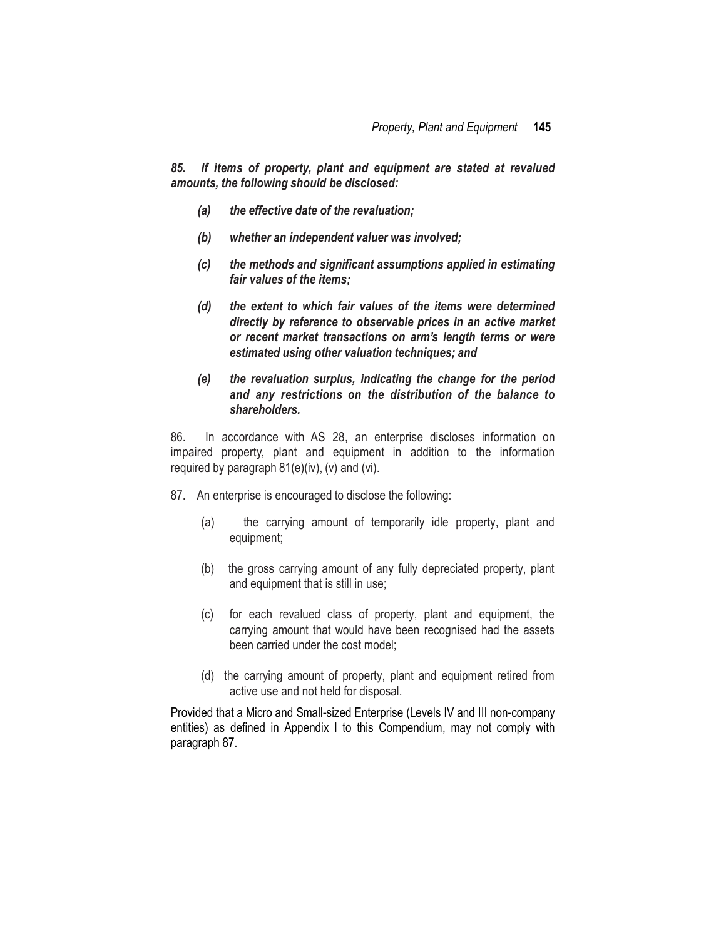*85. If items of property, plant and equipment are stated at revalued amounts, the following should be disclosed:*

- *(a) the effective date of the revaluation;*
- *(b) whether an independent valuer was involved;*
- *(c) the methods and significant assumptions applied in estimating fair values of the items;*
- *(d) the extent to which fair values of the items were determined directly by reference to observable prices in an active market or recent market transactions on arm's length terms or were estimated using other valuation techniques; and*
- *(e) the revaluation surplus, indicating the change for the period and any restrictions on the distribution of the balance to shareholders.*

86. In accordance with AS 28, an enterprise discloses information on impaired property, plant and equipment in addition to the information required by paragraph 81(e)(iv), (v) and (vi).

- 87. An enterprise is encouraged to disclose the following:
	- (a) the carrying amount of temporarily idle property, plant and equipment;
	- (b) the gross carrying amount of any fully depreciated property, plant and equipment that is still in use;
	- (c) for each revalued class of property, plant and equipment, the carrying amount that would have been recognised had the assets been carried under the cost model;
	- (d) the carrying amount of property, plant and equipment retired from active use and not held for disposal.

Provided that a Micro and Small-sized Enterprise (Levels IV and III non-company entities) as defined in Appendix I to this Compendium, may not comply with paragraph 87.